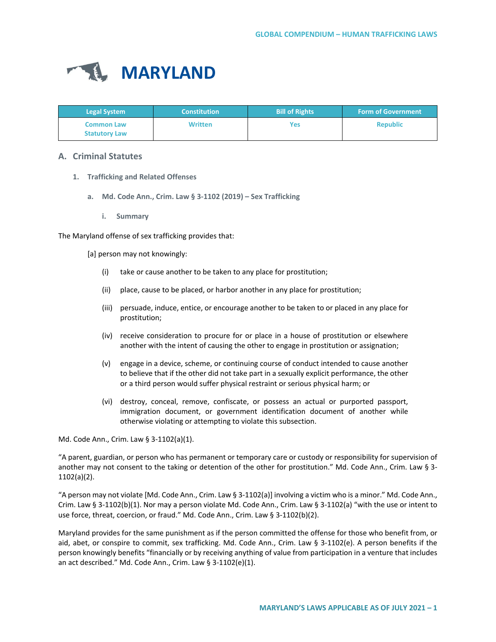

| <b>Legal System</b>                       | <b>Constitution</b> | <b>Bill of Rights</b> | <b>Form of Government</b> |
|-------------------------------------------|---------------------|-----------------------|---------------------------|
| <b>Common Law</b><br><b>Statutory Law</b> | <b>Written</b>      | Yes                   | <b>Republic</b>           |

# **A. Criminal Statutes**

- **1. Trafficking and Related Offenses**
	- **a. Md. Code Ann., Crim. Law § 3-1102 (2019) – Sex Trafficking**
		- **i. Summary**

The Maryland offense of sex trafficking provides that:

[a] person may not knowingly:

- (i) take or cause another to be taken to any place for prostitution;
- (ii) place, cause to be placed, or harbor another in any place for prostitution;
- (iii) persuade, induce, entice, or encourage another to be taken to or placed in any place for prostitution;
- (iv) receive consideration to procure for or place in a house of prostitution or elsewhere another with the intent of causing the other to engage in prostitution or assignation;
- (v) engage in a device, scheme, or continuing course of conduct intended to cause another to believe that if the other did not take part in a sexually explicit performance, the other or a third person would suffer physical restraint or serious physical harm; or
- (vi) destroy, conceal, remove, confiscate, or possess an actual or purported passport, immigration document, or government identification document of another while otherwise violating or attempting to violate this subsection.

Md. Code Ann., Crim. Law § 3-1102(a)(1).

"A parent, guardian, or person who has permanent or temporary care or custody or responsibility for supervision of another may not consent to the taking or detention of the other for prostitution." Md. Code Ann., Crim. Law § 3- 1102(a)(2).

"A person may not violate [Md. Code Ann., Crim. Law § 3-1102(a)] involving a victim who is a minor." Md. Code Ann., Crim. Law § 3-1102(b)(1). Nor may a person violate Md. Code Ann., Crim. Law § 3-1102(a) "with the use or intent to use force, threat, coercion, or fraud." Md. Code Ann., Crim. Law § 3-1102(b)(2).

Maryland provides for the same punishment as if the person committed the offense for those who benefit from, or aid, abet, or conspire to commit, sex trafficking. Md. Code Ann., Crim. Law § 3-1102(e). A person benefits if the person knowingly benefits "financially or by receiving anything of value from participation in a venture that includes an act described." Md. Code Ann., Crim. Law § 3-1102(e)(1).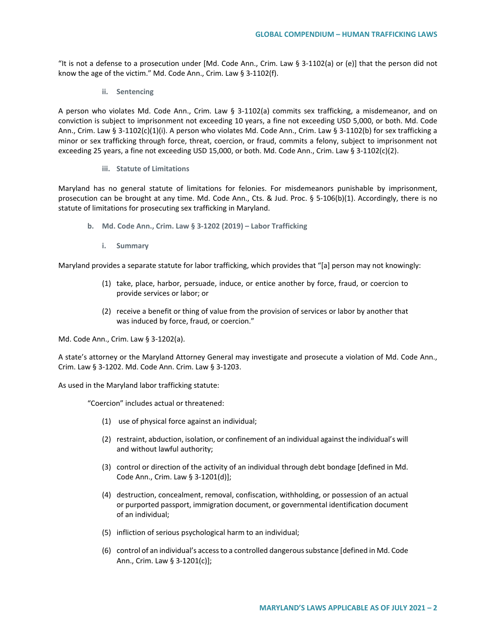"It is not a defense to a prosecution under  $[Md, Code Ann., Crim. Law § 3-1102(a) or (e)]$  that the person did not know the age of the victim." Md. Code Ann., Crim. Law § 3-1102(f).

**ii. Sentencing**

A person who violates Md. Code Ann., Crim. Law § 3-1102(a) commits sex trafficking, a misdemeanor, and on conviction is subject to imprisonment not exceeding 10 years, a fine not exceeding USD 5,000, or both. Md. Code Ann., Crim. Law § 3-1102(c)(1)(i). A person who violates Md. Code Ann., Crim. Law § 3-1102(b) for sex trafficking a minor or sex trafficking through force, threat, coercion, or fraud, commits a felony, subject to imprisonment not exceeding 25 years, a fine not exceeding USD 15,000, or both. Md. Code Ann., Crim. Law § 3-1102(c)(2).

#### **iii. Statute of Limitations**

Maryland has no general statute of limitations for felonies. For misdemeanors punishable by imprisonment, prosecution can be brought at any time. Md. Code Ann., Cts. & Jud. Proc. § 5-106(b)(1). Accordingly, there is no statute of limitations for prosecuting sex trafficking in Maryland.

- **b. Md. Code Ann., Crim. Law § 3-1202 (2019) – Labor Trafficking** 
	- **i. Summary**

Maryland provides a separate statute for labor trafficking, which provides that "[a] person may not knowingly:

- (1) take, place, harbor, persuade, induce, or entice another by force, fraud, or coercion to provide services or labor; or
- (2) receive a benefit or thing of value from the provision of services or labor by another that was induced by force, fraud, or coercion."

Md. Code Ann., Crim. Law § 3-1202(a).

A state's attorney or the Maryland Attorney General may investigate and prosecute a violation of Md. Code Ann., Crim. Law § 3-1202. Md. Code Ann. Crim. Law § 3-1203.

As used in the Maryland labor trafficking statute:

"Coercion" includes actual or threatened:

- (1) use of physical force against an individual;
- (2) restraint, abduction, isolation, or confinement of an individual against the individual's will and without lawful authority;
- (3) control or direction of the activity of an individual through debt bondage [defined in Md. Code Ann., Crim. Law § 3-1201(d)];
- (4) destruction, concealment, removal, confiscation, withholding, or possession of an actual or purported passport, immigration document, or governmental identification document of an individual;
- (5) infliction of serious psychological harm to an individual;
- (6) control of an individual's access to a controlled dangerous substance [defined in Md. Code Ann., Crim. Law § 3-1201(c)];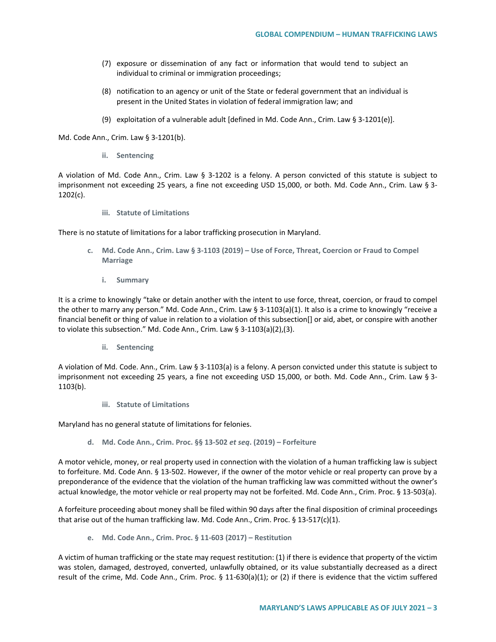- (7) exposure or dissemination of any fact or information that would tend to subject an individual to criminal or immigration proceedings;
- (8) notification to an agency or unit of the State or federal government that an individual is present in the United States in violation of federal immigration law; and
- (9) exploitation of a vulnerable adult [defined in Md. Code Ann., Crim. Law § 3-1201(e)].

Md. Code Ann., Crim. Law § 3-1201(b).

**ii. Sentencing**

A violation of Md. Code Ann., Crim. Law § 3-1202 is a felony. A person convicted of this statute is subject to imprisonment not exceeding 25 years, a fine not exceeding USD 15,000, or both. Md. Code Ann., Crim. Law § 3- 1202(c).

**iii. Statute of Limitations**

There is no statute of limitations for a labor trafficking prosecution in Maryland.

- **c. Md. Code Ann., Crim. Law § 3-1103 (2019) – Use of Force, Threat, Coercion or Fraud to Compel Marriage**
	- **i. Summary**

It is a crime to knowingly "take or detain another with the intent to use force, threat, coercion, or fraud to compel the other to marry any person." Md. Code Ann., Crim. Law § 3-1103(a)(1). It also is a crime to knowingly "receive a financial benefit or thing of value in relation to a violation of this subsection[] or aid, abet, or conspire with another to violate this subsection." Md. Code Ann., Crim. Law § 3-1103(a)(2),(3).

**ii. Sentencing**

A violation of Md. Code. Ann., Crim. Law § 3-1103(a) is a felony. A person convicted under this statute is subject to imprisonment not exceeding 25 years, a fine not exceeding USD 15,000, or both. Md. Code Ann., Crim. Law § 3- 1103(b).

**iii. Statute of Limitations**

Maryland has no general statute of limitations for felonies.

**d. Md. Code Ann., Crim. Proc. §§ 13-502** *et seq***. (2019) – Forfeiture**

A motor vehicle, money, or real property used in connection with the violation of a human trafficking law is subject to forfeiture. Md. Code Ann. § 13-502. However, if the owner of the motor vehicle or real property can prove by a preponderance of the evidence that the violation of the human trafficking law was committed without the owner's actual knowledge, the motor vehicle or real property may not be forfeited. Md. Code Ann., Crim. Proc. § 13-503(a).

A forfeiture proceeding about money shall be filed within 90 days after the final disposition of criminal proceedings that arise out of the human trafficking law. Md. Code Ann., Crim. Proc.  $\S$  13-517(c)(1).

**e. Md. Code Ann., Crim. Proc. § 11-603 (2017) – Restitution**

A victim of human trafficking or the state may request restitution: (1) if there is evidence that property of the victim was stolen, damaged, destroyed, converted, unlawfully obtained, or its value substantially decreased as a direct result of the crime, Md. Code Ann., Crim. Proc. § 11-630(a)(1); or (2) if there is evidence that the victim suffered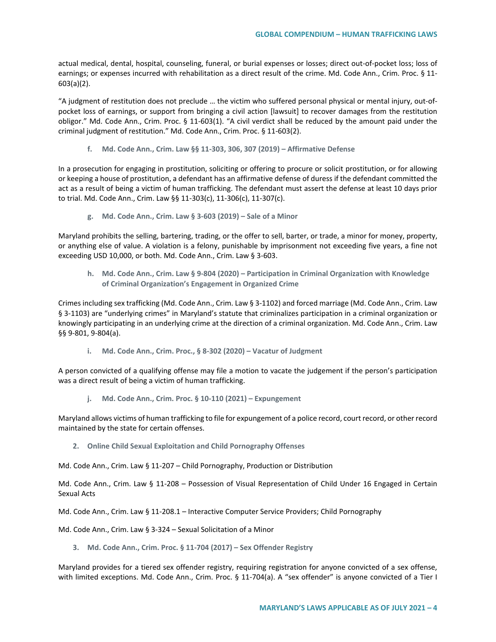actual medical, dental, hospital, counseling, funeral, or burial expenses or losses; direct out-of-pocket loss; loss of earnings; or expenses incurred with rehabilitation as a direct result of the crime. Md. Code Ann., Crim. Proc. § 11- 603(a)(2).

"A judgment of restitution does not preclude … the victim who suffered personal physical or mental injury, out-ofpocket loss of earnings, or support from bringing a civil action [lawsuit] to recover damages from the restitution obligor." Md. Code Ann., Crim. Proc. § 11-603(1). "A civil verdict shall be reduced by the amount paid under the criminal judgment of restitution." Md. Code Ann., Crim. Proc. § 11-603(2).

**f. Md. Code Ann., Crim. Law §§ 11-303, 306, 307 (2019) – Affirmative Defense**

In a prosecution for engaging in prostitution, soliciting or offering to procure or solicit prostitution, or for allowing or keeping a house of prostitution, a defendant has an affirmative defense of duress if the defendant committed the act as a result of being a victim of human trafficking. The defendant must assert the defense at least 10 days prior to trial. Md. Code Ann., Crim. Law §§ 11-303(c), 11-306(c), 11-307(c).

**g. Md. Code Ann., Crim. Law § 3-603 (2019) – Sale of a Minor**

Maryland prohibits the selling, bartering, trading, or the offer to sell, barter, or trade, a minor for money, property, or anything else of value. A violation is a felony, punishable by imprisonment not exceeding five years, a fine not exceeding USD 10,000, or both. Md. Code Ann., Crim. Law § 3-603.

**h. Md. Code Ann., Crim. Law § 9-804 (2020) – Participation in Criminal Organization with Knowledge of Criminal Organization's Engagement in Organized Crime**

Crimes including sex trafficking (Md. Code Ann., Crim. Law § 3-1102) and forced marriage (Md. Code Ann., Crim. Law § 3-1103) are "underlying crimes" in Maryland's statute that criminalizes participation in a criminal organization or knowingly participating in an underlying crime at the direction of a criminal organization. Md. Code Ann., Crim. Law §§ 9-801, 9-804(a).

**i. Md. Code Ann., Crim. Proc., § 8-302 (2020) – Vacatur of Judgment**

A person convicted of a qualifying offense may file a motion to vacate the judgement if the person's participation was a direct result of being a victim of human trafficking.

**j. Md. Code Ann., Crim. Proc. § 10-110 (2021) – Expungement**

Maryland allows victims of human trafficking to file for expungement of a police record, court record, or other record maintained by the state for certain offenses.

**2. Online Child Sexual Exploitation and Child Pornography Offenses**

Md. Code Ann., Crim. Law § 11-207 – Child Pornography, Production or Distribution

Md. Code Ann., Crim. Law § 11-208 – Possession of Visual Representation of Child Under 16 Engaged in Certain Sexual Acts

Md. Code Ann., Crim. Law § 11-208.1 – Interactive Computer Service Providers; Child Pornography

Md. Code Ann., Crim. Law § 3-324 – Sexual Solicitation of a Minor

**3. Md. Code Ann., Crim. Proc. § 11-704 (2017) – Sex Offender Registry**

Maryland provides for a tiered sex offender registry, requiring registration for anyone convicted of a sex offense, with limited exceptions. Md. Code Ann., Crim. Proc. § 11-704(a). A "sex offender" is anyone convicted of a Tier I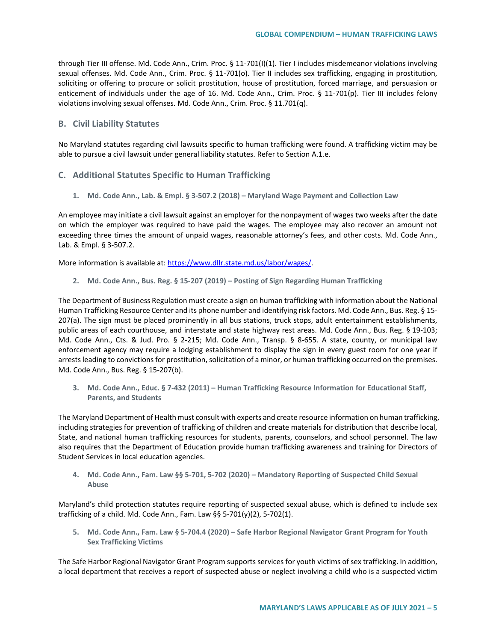through Tier III offense. Md. Code Ann., Crim. Proc. § 11-701(I)(1). Tier I includes misdemeanor violations involving sexual offenses. Md. Code Ann., Crim. Proc. § 11-701(o). Tier II includes sex trafficking, engaging in prostitution, soliciting or offering to procure or solicit prostitution, house of prostitution, forced marriage, and persuasion or enticement of individuals under the age of 16. Md. Code Ann., Crim. Proc. § 11-701(p). Tier III includes felony violations involving sexual offenses. Md. Code Ann., Crim. Proc. § 11.701(q).

### **B. Civil Liability Statutes**

No Maryland statutes regarding civil lawsuits specific to human trafficking were found. A trafficking victim may be able to pursue a civil lawsuit under general liability statutes. Refer to Section A.1.e.

### **C. Additional Statutes Specific to Human Trafficking**

**1. Md. Code Ann., Lab. & Empl. § 3-507.2 (2018) – Maryland Wage Payment and Collection Law**

An employee may initiate a civil lawsuit against an employer for the nonpayment of wages two weeks after the date on which the employer was required to have paid the wages. The employee may also recover an amount not exceeding three times the amount of unpaid wages, reasonable attorney's fees, and other costs. Md. Code Ann., Lab. & Empl. § 3-507.2.

More information is available at: https://www.dllr.state.md.us/labor/wages/

**2. Md. Code Ann., Bus. Reg. § 15-207 (2019) – Posting of Sign Regarding Human Trafficking**

The Department of Business Regulation must create a sign on human trafficking with information about the National Human Trafficking Resource Center and its phone number and identifying risk factors. Md. Code Ann., Bus. Reg. § 15- 207(a). The sign must be placed prominently in all bus stations, truck stops, adult entertainment establishments, public areas of each courthouse, and interstate and state highway rest areas. Md. Code Ann., Bus. Reg. § 19-103; Md. Code Ann., Cts. & Jud. Pro. § 2-215; Md. Code Ann., Transp. § 8-655. A state, county, or municipal law enforcement agency may require a lodging establishment to display the sign in every guest room for one year if arrests leading to convictions for prostitution, solicitation of a minor, or human trafficking occurred on the premises. Md. Code Ann., Bus. Reg. § 15-207(b).

**3. Md. Code Ann., Educ. § 7-432 (2011) – Human Trafficking Resource Information for Educational Staff, Parents, and Students**

The Maryland Department of Health must consult with experts and create resource information on human trafficking, including strategies for prevention of trafficking of children and create materials for distribution that describe local, State, and national human trafficking resources for students, parents, counselors, and school personnel. The law also requires that the Department of Education provide human trafficking awareness and training for Directors of Student Services in local education agencies.

**4. Md. Code Ann., Fam. Law §§ 5-701, 5-702 (2020) – Mandatory Reporting of Suspected Child Sexual Abuse** 

Maryland's child protection statutes require reporting of suspected sexual abuse, which is defined to include sex trafficking of a child. Md. Code Ann., Fam. Law §§ 5-701(y)(2), 5-702(1).

**5. Md. Code Ann., Fam. Law § 5-704.4 (2020) – Safe Harbor Regional Navigator Grant Program for Youth Sex Trafficking Victims**

The Safe Harbor Regional Navigator Grant Program supports services for youth victims of sex trafficking. In addition, a local department that receives a report of suspected abuse or neglect involving a child who is a suspected victim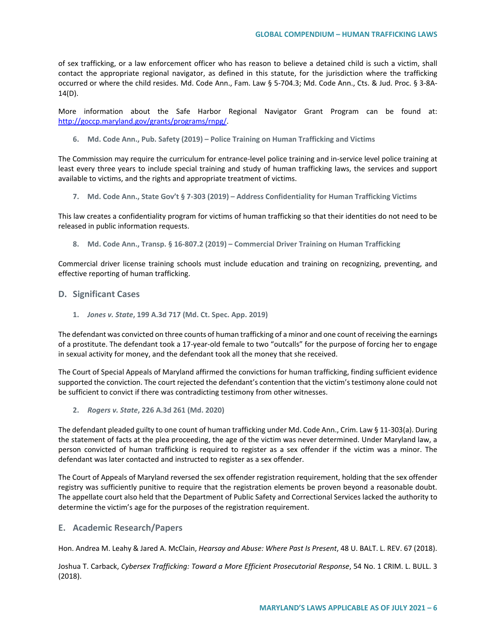of sex trafficking, or a law enforcement officer who has reason to believe a detained child is such a victim, shall contact the appropriate regional navigator, as defined in this statute, for the jurisdiction where the trafficking occurred or where the child resides. Md. Code Ann., Fam. Law § 5-704.3; Md. Code Ann., Cts. & Jud. Proc. § 3-8A-14(D).

More information about the Safe Harbor Regional Navigator Grant Program can be found at: [http://goccp.maryland.gov/grants/programs/rnpg/.](http://goccp.maryland.gov/grants/programs/rnpg/)

**6. Md. Code Ann., Pub. Safety (2019) – Police Training on Human Trafficking and Victims**

The Commission may require the curriculum for entrance-level police training and in-service level police training at least every three years to include special training and study of human trafficking laws, the services and support available to victims, and the rights and appropriate treatment of victims.

**7. Md. Code Ann., State Gov't § 7-303 (2019) – Address Confidentiality for Human Trafficking Victims**

This law creates a confidentiality program for victims of human trafficking so that their identities do not need to be released in public information requests.

**8. Md. Code Ann., Transp. § 16-807.2 (2019) – Commercial Driver Training on Human Trafficking**

Commercial driver license training schools must include education and training on recognizing, preventing, and effective reporting of human trafficking.

### **D. Significant Cases**

**1.** *Jones v. State***, 199 A.3d 717 (Md. Ct. Spec. App. 2019)**

The defendant was convicted on three counts of human trafficking of a minor and one count of receiving the earnings of a prostitute. The defendant took a 17-year-old female to two "outcalls" for the purpose of forcing her to engage in sexual activity for money, and the defendant took all the money that she received.

The Court of Special Appeals of Maryland affirmed the convictions for human trafficking, finding sufficient evidence supported the conviction. The court rejected the defendant's contention that the victim's testimony alone could not be sufficient to convict if there was contradicting testimony from other witnesses.

**2.** *Rogers v. State***, 226 A.3d 261 (Md. 2020)**

The defendant pleaded guilty to one count of human trafficking under Md. Code Ann., Crim. Law § 11-303(a). During the statement of facts at the plea proceeding, the age of the victim was never determined. Under Maryland law, a person convicted of human trafficking is required to register as a sex offender if the victim was a minor. The defendant was later contacted and instructed to register as a sex offender.

The Court of Appeals of Maryland reversed the sex offender registration requirement, holding that the sex offender registry was sufficiently punitive to require that the registration elements be proven beyond a reasonable doubt. The appellate court also held that the Department of Public Safety and Correctional Services lacked the authority to determine the victim's age for the purposes of the registration requirement.

### **E. Academic Research/Papers**

Hon. Andrea M. Leahy & Jared A. McClain, *Hearsay and Abuse: Where Past Is Present*, 48 U. BALT. L. REV. 67 (2018).

Joshua T. Carback, *Cybersex Trafficking: Toward a More Efficient Prosecutorial Response*, 54 No. 1 CRIM. L. BULL. 3 (2018).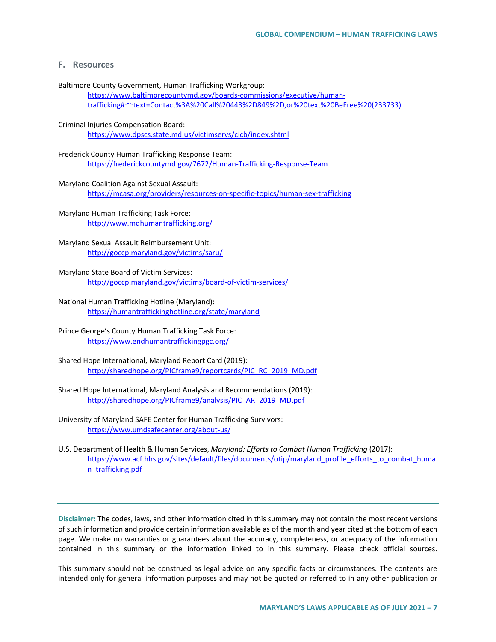# **F. Resources**

Baltimore County Government, Human Trafficking Workgroup:

[https://www.baltimorecountymd.gov/boards-commissions/executive/human](https://www.baltimorecountymd.gov/boards-commissions/executive/human-trafficking#:%7E:text=Contact%3A%20Call%20443%2D849%2D,or%20text%20BeFree%20(233733))[trafficking#:~:text=Contact%3A%20Call%20443%2D849%2D,or%20text%20BeFree%20\(233733\)](https://www.baltimorecountymd.gov/boards-commissions/executive/human-trafficking#:%7E:text=Contact%3A%20Call%20443%2D849%2D,or%20text%20BeFree%20(233733))

#### Criminal Injuries Compensation Board:

<https://www.dpscs.state.md.us/victimservs/cicb/index.shtml>

# Frederick County Human Trafficking Response Team: <https://frederickcountymd.gov/7672/Human-Trafficking-Response-Team>

#### Maryland Coalition Against Sexual Assault:

<https://mcasa.org/providers/resources-on-specific-topics/human-sex-trafficking>

# Maryland Human Trafficking Task Force: <http://www.mdhumantrafficking.org/>

### Maryland Sexual Assault Reimbursement Unit: <http://goccp.maryland.gov/victims/saru/>

Maryland State Board of Victim Services: <http://goccp.maryland.gov/victims/board-of-victim-services/>

#### National Human Trafficking Hotline (Maryland): <https://humantraffickinghotline.org/state/maryland>

### Prince George's County Human Trafficking Task Force: <https://www.endhumantraffickingpgc.org/>

- Shared Hope International, Maryland Report Card (2019): [http://sharedhope.org/PICframe9/reportcards/PIC\\_RC\\_2019\\_MD.pdf](http://sharedhope.org/PICframe9/reportcards/PIC_RC_2019_MD.pdf)
- Shared Hope International, Maryland Analysis and Recommendations (2019): [http://sharedhope.org/PICframe9/analysis/PIC\\_AR\\_2019\\_MD.pdf](http://sharedhope.org/PICframe9/analysis/PIC_AR_2019_MD.pdf)
- University of Maryland SAFE Center for Human Trafficking Survivors: <https://www.umdsafecenter.org/about-us/>
- U.S. Department of Health & Human Services, *Maryland: Efforts to Combat Human Trafficking* (2017): [https://www.acf.hhs.gov/sites/default/files/documents/otip/maryland\\_profile\\_efforts\\_to\\_combat\\_huma](https://www.acf.hhs.gov/sites/default/files/documents/otip/maryland_profile_efforts_to_combat_human_trafficking.pdf) [n\\_trafficking.pdf](https://www.acf.hhs.gov/sites/default/files/documents/otip/maryland_profile_efforts_to_combat_human_trafficking.pdf)

**Disclaimer:** The codes, laws, and other information cited in this summary may not contain the most recent versions of such information and provide certain information available as of the month and year cited at the bottom of each page. We make no warranties or guarantees about the accuracy, completeness, or adequacy of the information contained in this summary or the information linked to in this summary. Please check official sources.

This summary should not be construed as legal advice on any specific facts or circumstances. The contents are intended only for general information purposes and may not be quoted or referred to in any other publication or